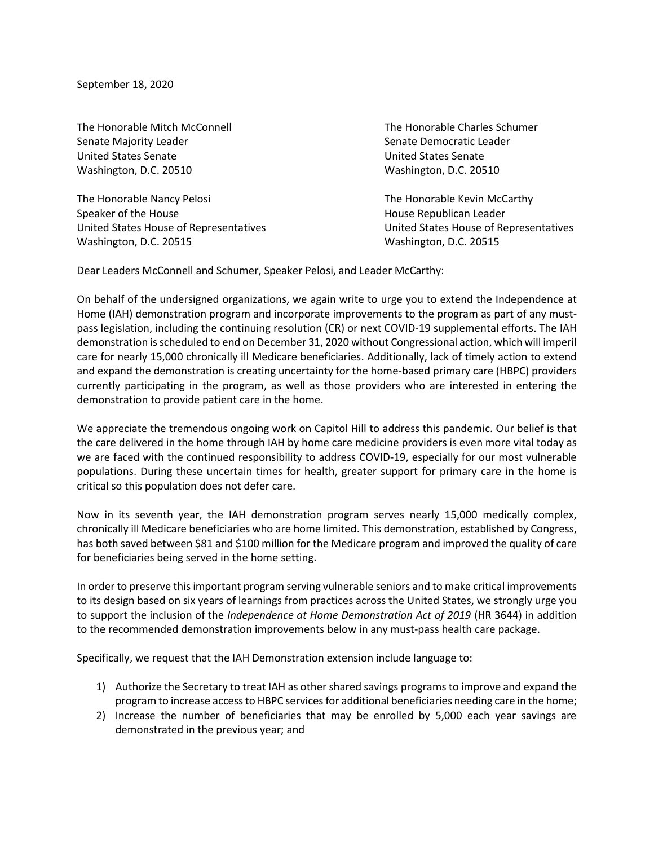September 18, 2020

Senate Majority Leader Senate Democratic Leader Senate Democratic Leader United States Senate United States Senate Washington, D.C. 20510 Washington, D.C. 20510

The Honorable Nancy Pelosi **The Honorable Kevin McCarthy** Speaker of the House **House** All the House Republican Leader Washington, D.C. 20515 Washington, D.C. 20515

The Honorable Mitch McConnell The Honorable Charles Schumer

United States House of Representatives United States House of Representatives

Dear Leaders McConnell and Schumer, Speaker Pelosi, and Leader McCarthy:

On behalf of the undersigned organizations, we again write to urge you to extend the Independence at Home (IAH) demonstration program and incorporate improvements to the program as part of any mustpass legislation, including the continuing resolution (CR) or next COVID-19 supplemental efforts. The IAH demonstration is scheduled to end on December 31, 2020 without Congressional action, which will imperil care for nearly 15,000 chronically ill Medicare beneficiaries. Additionally, lack of timely action to extend and expand the demonstration is creating uncertainty for the home-based primary care (HBPC) providers currently participating in the program, as well as those providers who are interested in entering the demonstration to provide patient care in the home.

We appreciate the tremendous ongoing work on Capitol Hill to address this pandemic. Our belief is that the care delivered in the home through IAH by home care medicine providers is even more vital today as we are faced with the continued responsibility to address COVID-19, especially for our most vulnerable populations. During these uncertain times for health, greater support for primary care in the home is critical so this population does not defer care.

Now in its seventh year, the IAH demonstration program serves nearly 15,000 medically complex, chronically ill Medicare beneficiaries who are home limited. This demonstration, established by Congress, has both saved between \$81 and \$100 million for the Medicare program and improved the quality of care for beneficiaries being served in the home setting.

In order to preserve this important program serving vulnerable seniors and to make critical improvements to its design based on six years of learnings from practices across the United States, we strongly urge you to support the inclusion of the *Independence at Home Demonstration Act of 2019* (HR 3644) in addition to the recommended demonstration improvements below in any must-pass health care package.

Specifically, we request that the IAH Demonstration extension include language to:

- 1) Authorize the Secretary to treat IAH as other shared savings programsto improve and expand the program to increase access to HBPC services for additional beneficiaries needing care in the home;
- 2) Increase the number of beneficiaries that may be enrolled by 5,000 each year savings are demonstrated in the previous year; and